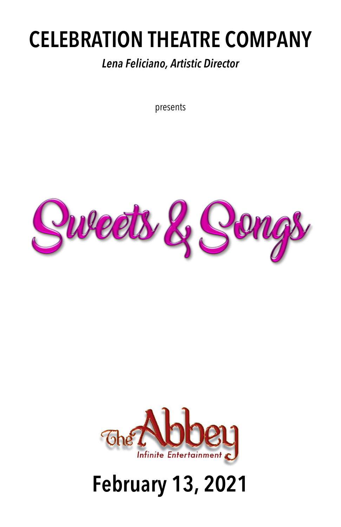## **CELEBRATION THEATRE COMPANY**

#### *Lena Feliciano, Artistic Director*

presents





# **February 13, 2021**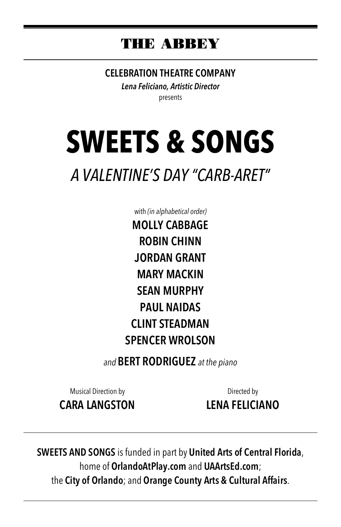## **THE ABBEY**

**CELEBRATION THEATRE COMPANY**

*Lena Feliciano, Artistic Director* presents

# **SWEETS & SONGS**

## *A VALENTINE'S DAY "CARB-ARET"*

with *(in alphabetical order)* **MOLLY CABBAGE ROBIN CHINN JORDAN GRANT MARY MACKIN SEAN MURPHY PAUL NAIDAS CLINT STEADMAN SPENCER WROLSON**

*and* **BERT RODRIGUEZ** *at the piano*

Musical Direction by **CARA LANGSTON**

Directed by **LENA FELICIANO**

**SWEETS AND SONGS** is funded in part by **United Arts of Central Florida**, home of **OrlandoAtPlay.com** and **UAArtsEd.com**; the **City of Orlando**; and **Orange County Arts & Cultural Affairs**.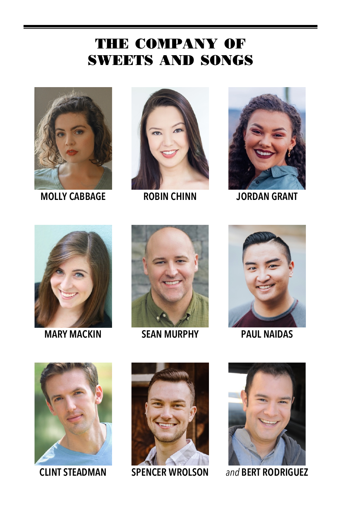## **THE COMPANY OF SWEETS AND SONGS**



**MOLLY CABBAGE ROBIN CHINN JORDAN GRANT**









**MARY MACKIN SEAN MURPHY PAUL NAIDAS**









**CLINT STEADMAN SPENCER WROLSON** *and* **BERT RODRIGUEZ**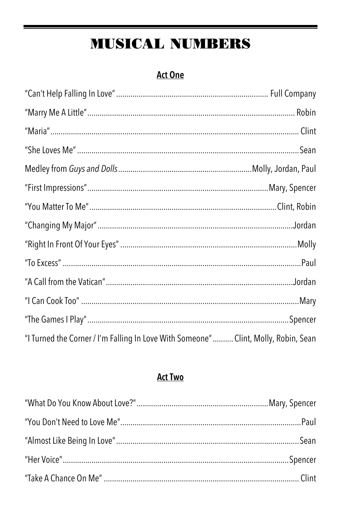## **MUSICAL NUMBERS**

#### **Act One**

| "I Turned the Corner / I'm Falling In Love With Someone"  Clint, Molly, Robin, Sean |  |
|-------------------------------------------------------------------------------------|--|

#### **Act Two**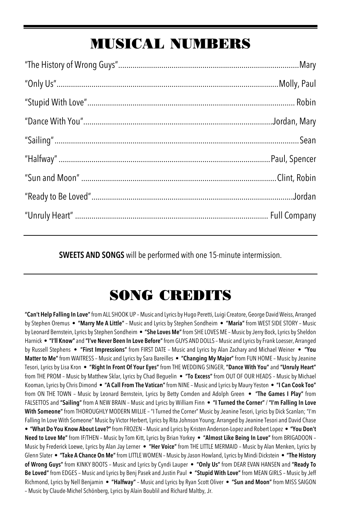## **MUSICAL NUMBERS**

**SWEETS AND SONGS** will be performed with one 15-minute intermission.

## **SONG CREDITS**

**"Can't Help Falling In Love"**from ALL SHOOK UP – Music and Lyrics by Hugo Peretti, Luigi Creatore, George David Weiss, Arranged by Stephen Oremus • **"Marry Me A Little"** – Music and Lyrics by Stephen Sondheim • **"Maria"** from WEST SIDE STORY – Music by Leonard Bernstein, Lyrics by Stephen Sondheim • **"She Loves Me"**from SHE LOVES ME – Music by Jerry Bock, Lyrics by Sheldon Harnick • **"I'll Know"** and **"I've Never Been In Love Before"**from GUYS AND DOLLS – Music and Lyrics by Frank Loesser, Arranged by Russell Stephens • **"First Impressions"** from FIRST DATE – Music and Lyrics by Alan Zachary and Michael Weiner • **"You Matter to Me"** from WAITRESS – Music and Lyrics by Sara Bareilles • **"Changing My Major"** from FUN HOME – Music by Jeanine Tesori, Lyrics by Lisa Kron • **"Right In Front Of Your Eyes"** from THE WEDDING SINGER, **"Dance With You"** and **"Unruly Heart"**  from THE PROM – Music by Matthew Sklar, Lyrics by Chad Beguelin • **"To Excess"** from OUT OF OUR HEADS – Music by Michael Kooman, Lyrics by Chris Dimond • **"A Call From The Vatican"**from NINE – Music and Lyrics by Maury Yeston • **"I Can Cook Too"** from ON THE TOWN – Music by Leonard Bernstein, Lyrics by Betty Comden and Adolph Green • **"The Games I Play"** from FALSETTOS and **"Sailing"** from A NEW BRAIN – Music and Lyrics by William Finn • **"I Turned the Corner"** / **"I'm Falling In Love With Someone"**from THOROUGHLY MODERN MILLIE – "I Turned the Corner" Music by Jeanine Tesori, Lyrics by Dick Scanlan; "I'm Falling In Love With Someone" Music by Victor Herbert, Lyrics by Rita Johnson Young; Arranged by Jeanine Tesori and David Chase • **"What Do You Know About Love?"**from FROZEN – Music and Lyrics by Kristen Anderson-Lopez and Robert Lopez • **"You Don't Need to Love Me"** from IF/THEN – Music by Tom Kitt, Lyrics by Brian Yorkey • **"Almost Like Being In Love"** from BRIGADOON – Music by Frederick Loewe, Lyrics by Alan Jay Lerner • **"Her Voice"** from THE LITTLE MERMAID – Music by Alan Menken, Lyrics by Glenn Slater • **"Take A Chance On Me"**from LITTLE WOMEN – Music by Jason Howland, Lyrics by Mindi Dickstein • **"The History of Wrong Guys"** from KINKY BOOTS – Music and Lyrics by Cyndi Lauper • **"Only Us"** from DEAR EVAN HANSEN and **"Ready To Be Loved"** from EDGES – Music and Lyrics by Benj Pasek and Justin Paul • **"Stupid With Love"** from MEAN GIRLS – Music by Jeff Richmond, Lyrics by Nell Benjamin • **"Halfway"** – Music and Lyrics by Ryan Scott Oliver • **"Sun and Moon"** from MISS SAIGON – Music by Claude-Michel Schönberg, Lyrics by Alain Boublil and Richard Maltby, Jr.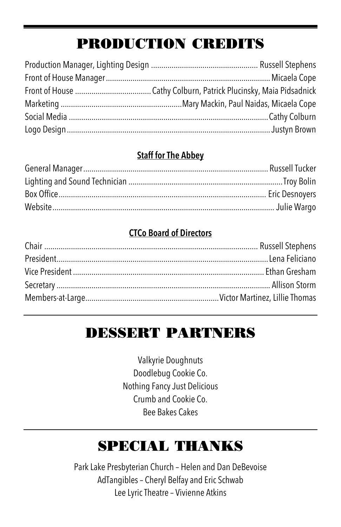## **PRODUCTION CREDITS**

#### **Staff for The Abbey**

#### **CTCo Board of Directors**

## **DESSERT PARTNERS**

Valkyrie Doughnuts Doodlebug Cookie Co. Nothing Fancy Just Delicious Crumb and Cookie Co. Bee Bakes Cakes

## **SPECIAL THANKS**

Park Lake Presbyterian Church – Helen and Dan DeBevoise AdTangibles – Cheryl Belfay and Eric Schwab Lee Lyric Theatre – Vivienne Atkins